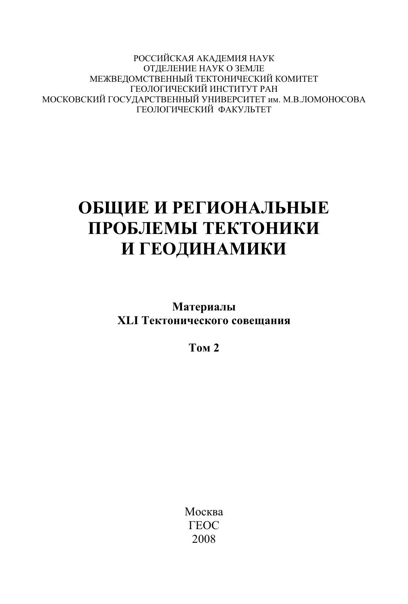РОССИЙСКАЯ АКАДЕМИЯ НАУК ОТЛЕЛЕНИЕ НАУК О ЗЕМЛЕ МЕЖВЕЛОМСТВЕННЫЙ ТЕКТОНИЧЕСКИЙ КОМИТЕТ ГЕОЛОГИЧЕСКИЙ ИНСТИТУТ РАН МОСКОВСКИЙ ГОСУДАРСТВЕННЫЙ УНИВЕРСИТЕТ им. М.В.ЛОМОНОСОВА ГЕОЛОГИЧЕСКИЙ ФАКУЛЬТЕТ

## ОБЩИЕ И РЕГИОНАЛЬНЫЕ ПРОБЛЕМЫ ТЕКТОНИКИ И ГЕОДИНАМИКИ

**Материалы XLI Тектонического совещания** 

**Том 2** 

Москва **TEOC** 2008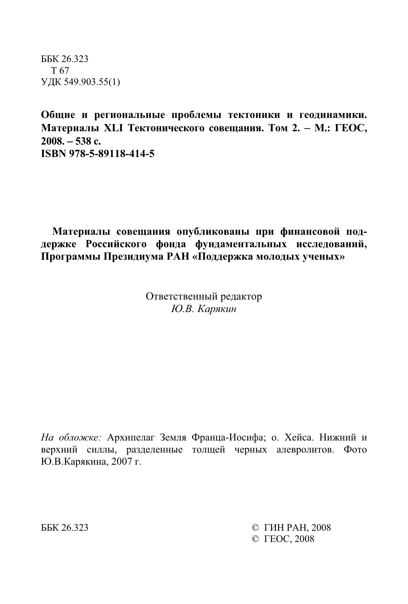ȻȻɄ 26.323 T 67 УДК 549.903.55(1)

Общие и региональные проблемы тектоники и геодинамики. **Материалы XLI Тектонического совещания. Том 2. − М.: ГЕОС, 2008.** − **538 ɫ. ISBN 978-5-89118-414-5**

Материалы совещания опубликованы при финансовой поддержке Российского фонда фундаментальных исследований, Программы Президиума РАН «Поддержка молодых ученых»

> Ответственный редактор *Ю.В. Карякин*

На обложке: Архипелаг Земля Франца-Иосифа; о. Хейса. Нижний и верхний силлы, разделенные толщей черных алевролитов. Фото Ю.В.Карякина, 2007 г.

ББК 26.323 © ГИН РАН. 2008 © FEOC, 2008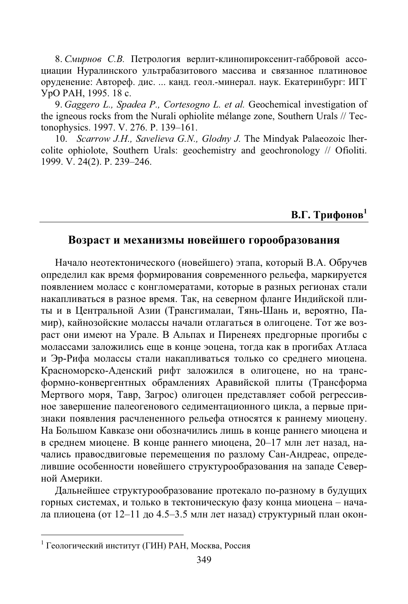8. Смирнов С.В. Петрология верлит-клинопироксенит-габбровой ассоциации Нуралинского ультрабазитового массива и связанное платиновое оруденение: Автореф. дис. ... канд. геол.-минерал. наук. Екатеринбург: ИГГ YpO PAH, 1995. 18 c.

9. *Gaggero L., Spadea P., Cortesogno L. et al.* Geochemical investigation of the igneous rocks from the Nurali ophiolite mélange zone, Southern Urals // Tectonophysics. 1997. V. 276. P. 139-161.

10. *Scarrow J.H., Savelieva G.N., Glodny J.* The Mindyak Palaeozoic lhercolite ophiolote, Southern Urals: geochemistry and geochronology // Ofioliti. 1999. V. 24(2). P. 239–246.

## **В.Г.** Трифонов<sup>1</sup>

## Возраст и механизмы новейшего горообразования

Начало неотектонического (новейшего) этапа, который В.А. Обручев определил как время формирования современного рельефа, маркируется появлением моласс с конгломератами, которые в разных регионах стали накапливаться в разное время. Так, на северном фланге Индийской плиты и в Центральной Азии (Трансгималаи, Тянь-Шань и, вероятно, Памир), кайнозойские молассы начали отлагаться в олигоцене. Тот же возраст они имеют на Урале. В Альпах и Пиренеях предгорные прогибы с нолассами заложились еще в конце эоцена, тогда как в прогибах Атласа и Эр-Рифа молассы стали накапливаться только со среднего миоцена. Красноморско-Аденский рифт заложился в олигоцене, но на трансформно-конвергентных обрамлениях Аравийской плиты (Трансформа Мертвого моря, Тавр, Загрос) олигоцен представляет собой регрессивное завершение палеогенового седиментационного цикла, а первые признаки появления расчлененного рельефа относятся к раннему миоцену. На Большом Кавказе они обозначились лишь в конце раннего миоцена и в среднем миоцене. В конце раннего миоцена, 20–17 млн лет назад, начались правосдвиговые перемещения по разлому Сан-Андреас, определившие особенности новейшего структурообразования на западе Северной Америки.

Дальнейшее структурообразование протекало по-разному в будущих горных системах, и только в тектоническую фазу конца миоцена - начала плиоцена (от 12–11 до 4.5–3.5 млн лет назад) структурный план окон-

 $1$  Геологический институт (ГИН) РАН, Москва, Россия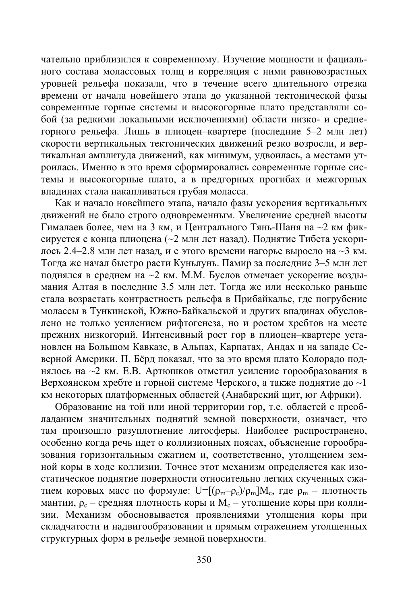чательно приблизился к современному. Изучение мощности и фациального состава молассовых толщ и корреляция с ними равновозрастных уровней рельефа показали, что в течение всего длительного отрезка ɜɪɟɦɟɧɢ ɨɬ ɧɚɱɚɥɚ ɧɨɜɟɣɲɟɝɨ ɷɬɚɩɚ ɞɨ ɭɤɚɡɚɧɧɨɣ ɬɟɤɬɨɧɢɱɟɫɤɨɣ ɮɚɡɵ современные горные системы и высокогорные плато представляли собой (за редкими локальными исключениями) области низко- и среднегорного рельефа. Лишь в плиоцен-квартере (последние 5–2 млн лет) скорости вертикальных тектонических движений резко возросли, и вертикальная амплитуда движений, как минимум, удвоилась, а местами утроилась. Именно в это время сформировались современные горные сис- $\overline{1}$ емы и высокогорные плато, а в предгорных прогибах и межгорных впадинах стала накапливаться грубая моласса.

Как и начало новейшего этапа, начало фазы ускорения вертикальных движений не было строго одновременным. Увеличение средней высоты Сималаев более, чем на 3 км, и Центрального Тянь-Шаня на ~2 км фиксируется с конца плиоцена (~2 млн лет назад). Поднятие Тибета ускорилось 2.4–2.8 млн лет назад, и с этого времени нагорье выросло на  $\sim$ 3 км. Тогда же начал быстро расти Куньлунь. Памир за последние 3–5 млн лет поднялся в среднем на ~2 км. М.М. Буслов отмечает ускорение воздымания Алтая в последние 3.5 млн лет. Тогда же или несколько раньше стала возрастать контрастность рельефа в Прибайкалье, где погрубение молассы в Тункинской, Южно-Байкальской и других впадинах обусловлено не только усилением рифтогенеза, но и ростом хребтов на месте прежних низкогорий. Интенсивный рост гор в плиоцен-квартере установлен на Большом Кавказе, в Альпах, Карпатах, Андах и на западе Северной Америки. П. Бёрд показал, что за это время плато Колорадо поднялось на  $\sim$ 2 км. Е.В. Артюшков отметил усиление горообразования в Верхоянском хребте и горной системе Черского, а также поднятие до  $\sim$ 1 км некоторых платформенных областей (Анабарский щит, юг Африки).

Образование на той или иной территории гор, т.е. областей с преобладанием значительных поднятий земной поверхности, означает, что там произошло разуплотнение литосферы. Наиболее распространено, особенно когда речь идет о коллизионных поясах, объяснение горообразования горизонтальным сжатием и, соответственно, утолщением земной коры в ходе коллизии. Точнее этот механизм определяется как изостатическое поднятие поверхности относительно легких скученных сжатием коровых масс по формуле:  $\mathrm{U=}[(\rho_{\mathrm{m}}-\rho_{\mathrm{c}})/\rho_{\mathrm{m}}]M_{\mathrm{c}},$  где  $\rho_{\mathrm{m}}$  – плотность мантии,  $\rho_{\rm c}$  – средняя плотность коры и  ${\rm M}_{\rm c}$  – утолщение коры при коллизии. Механизм обосновывается проявлениями утолщения коры при складчатости и надвигообразовании и прямым отражением утолщенных структурных форм в рельефе земной поверхности.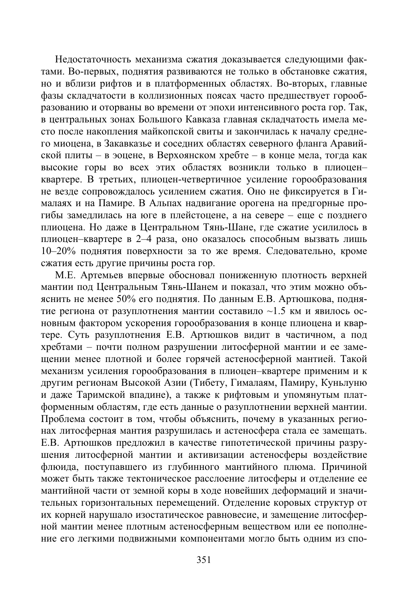Недостаточность механизма сжатия доказывается следующими фактами. Во-первых, поднятия развиваются не только в обстановке сжатия, но и вблизи рифтов и в платформенных областях. Во-вторых, главные фазы складчатости в коллизионных поясах часто предшествует горооб-• азованию и оторваны во времени от эпохи интенсивного роста гор. Так, • в центральных зонах Большого Кавказа главная складчатость имела место после накопления майкопской свиты и закончилась к началу среднего миоцена, в Закавказье и соседних областях северного фланга Аравийской плиты – в эоцене, в Верхоянском хребте – в конце мела, тогда как высокие горы во всех этих областях возникли только в плиоценквартере. В третьих, плиоцен-четвертичное усиление горообразования не везде сопровождалось усилением сжатия. Оно не фиксируется в Гималаях и на Памире. В Альпах надвигание орогена на предгорные прогибы замедлилась на юге в плейстоцене, а на севере - еще с позднего плиоцена. Но даже в Центральном Тянь-Шане, где сжатие усилилось в плиоцен-квартере в 2-4 раза, оно оказалось способным вызвать лишь 10–20% поднятия поверхности за то же время. Следовательно, кроме сжатия есть другие причины роста гор.

Ɇ.ȿ. Ⱥɪɬɟɦɶɟɜ ɜɩɟɪɜɵɟ ɨɛɨɫɧɨɜɚɥ ɩɨɧɢɠɟɧɧɭɸ ɩɥɨɬɧɨɫɬɶ ɜɟɪɯɧɟɣ мантии под Центральным Тянь-Шанем и показал, что этим можно объяснить не менее 50% его поднятия. По данным Е.В. Артюшкова, поднятие региона от разуплотнения мантии составило ~1.5 км и явилось основным фактором ускорения горообразования в конце плиоцена и квартере. Суть разуплотнения Е.В. Артюшков видит в частичном, а под хребтами – почти полном разрушении литосферной мантии и ее замещении менее плотной и более горячей астеносферной мантией. Такой механизм усиления горообразования в плиоцен-квартере применим и к другим регионам Высокой Азии (Тибету, Гималаям, Памиру, Куньлуню и даже Таримской впадине), а также к рифтовым и упомянутым платформенным областям, где есть данные о разуплотнении верхней мантии. тые и не и зараненить и таки и таки и таки и таки и таки и таки и таки и таки и таки и таки и таки и таки и та ъм литосферная мантия разрушилась и астеносфера стала ее замещать. Е.В. Артюшков предложил в качестве гипотетической причины разрушения литосферной мантии и активизации астеносферы воздействие флюида, поступавшего из глубинного мантийного плюма. Причиной ние и существов и совета автомическое расслоение литосферы и отделение ее мантийной части от земной коры в ходе новейших деформаций и значительных горизонтальных перемещений. Отделение коровых структур от их корней нарушало изостатическое равновесие, и замещение литосферной мантии менее плотным астеносферным веществом или ее пополнение его легкими подвижными компонентами могло быть одним из спо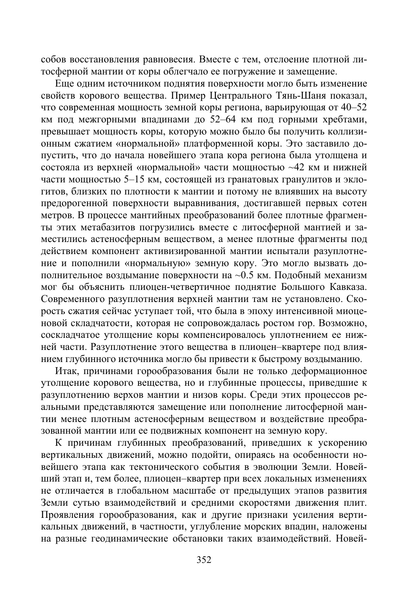собов восстановления равновесия. Вместе с тем, отслоение плотной литосферной мантии от коры облегчало ее погружение и замещение.

Еще одним источником поднятия поверхности могло быть изменение свойств корового вещества. Пример Центрального Тянь-Шаня показал, что современная мощность земной коры региона, варьирующая от 40–52 км под межгорными впадинами до 52–64 км под горными хребтами, превышает мощность коры, которую можно было бы получить коллизи-Ни сжатием «нормальной» платформенной коры. Это заставило допустить, что до начала новейшего этапа кора региона была утолщена и еостояла из верхней «нормальной» части мощностью ~42 км и нижней части мощностью 5–15 км, состоящей из гранатовых гранулитов и эклогитов, близких по плотности к мантии и потому не влиявших на высоту предорогенной поверхности выравнивания, достигавшей первых сотен метров. В процессе мантийных преобразований более плотные фрагменты этих метабазитов погрузились вместе с литосферной мантией и зака этит истивнить и такивно и так в только и так за использования и так за использования и так и такива и таки действием компонент активизированной мантии испытали разуплотнение и пополнили «нормальную» земную кору. Это могло вызвать дополнительное воздымание поверхности на ~0.5 км. Подобный механизм мог бы объяснить плиоцен-четвертичное поднятие Большого Кавказа. Современного разуплотнения верхней мантии там не установлено. Скорость сжатия сейчас уступает той, что была в эпоху интенсивной миоце-•<br>новой складчатости, которая не сопровождалась ростом гор. Возможно, соскладчатое утолщение коры компенсировалось уплотнением ее нижней части. Разуплотнение этого вещества в плиоцен-квартере под влиянием глубинного источника могло бы привести к быстрому воздыманию.

Итак, причинами горообразования были не только деформационное утолщение корового вещества, но и глубинные процессы, приведшие к разуплотнению верхов мантии и низов коры. Среди этих процессов реальными представляются замещение или пополнение литосферной мантии менее плотным астеносферным веществом и воздействие преобразованной мантии или ее подвижных компонент на земную кору.

К причинам глубинных преобразований, приведших к ускорению вертикальных движений, можно подойти, опираясь на особенности новейшего этапа как тектонического события в эволюции Земли. Новейший этап и, тем более, плиоцен-квартер при всех локальных изменениях не отличается в глобальном масштабе от предыдущих этапов развития Земли сутью взаимодействий и средними скоростями движения плит. Проявления горообразования, как и другие признаки усиления вертикальных движений, в частности, углубление морских впадин, наложены на разные геодинамические обстановки таких взаимодействий. Новей